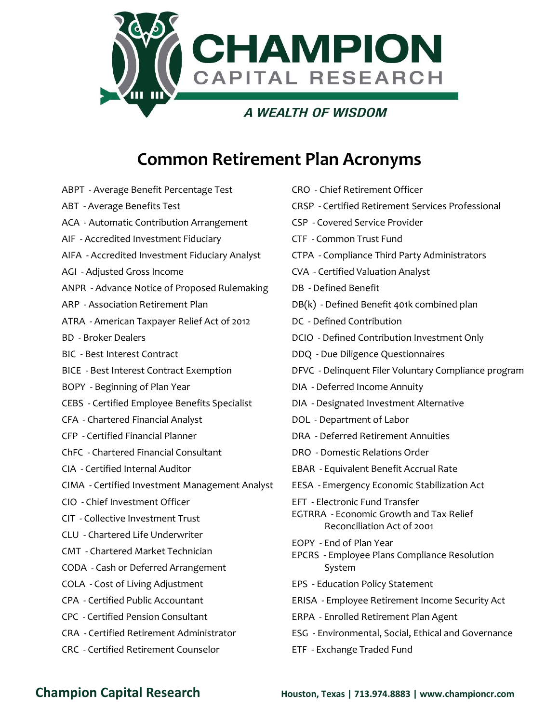

## **Common Retirement Plan Acronyms**

ABPT - Average Benefit Percentage Test ABT - Average Benefits Test ACA - Automatic Contribution Arrangement AIF - Accredited Investment Fiduciary AIFA - Accredited Investment Fiduciary Analyst AGI - Adjusted Gross Income ANPR - Advance Notice of Proposed Rulemaking ARP - Association Retirement Plan ATRA - American Taxpayer Relief Act of 2012 BD - Broker Dealers BIC - Best Interest Contract BICE - Best Interest Contract Exemption BOPY - Beginning of Plan Year CEBS - Certified Employee Benefits Specialist CFA - Chartered Financial Analyst CFP - Certified Financial Planner ChFC - Chartered Financial Consultant CIA - Certified Internal Auditor CIMA - Certified Investment Management Analyst CIO - Chief Investment Officer CIT - Collective Investment Trust CLU - Chartered Life Underwriter CMT - Chartered Market Technician CODA - Cash or Deferred Arrangement COLA - Cost of Living Adjustment CPA - Certified Public Accountant CPC - Certified Pension Consultant CRA - Certified Retirement Administrator CRC - Certified Retirement Counselor

| CRO - Chief Retirement Officer                                               |
|------------------------------------------------------------------------------|
| CRSP - Certified Retirement Services Professional                            |
| <b>CSP - Covered Service Provider</b>                                        |
| CTF - Common Trust Fund                                                      |
| CTPA - Compliance Third Party Administrators                                 |
| <b>CVA - Certified Valuation Analyst</b>                                     |
| DB - Defined Benefit                                                         |
| DB(k) - Defined Benefit 401k combined plan                                   |
| DC - Defined Contribution                                                    |
| DCIO - Defined Contribution Investment Only                                  |
| DDQ - Due Diligence Questionnaires                                           |
| DFVC - Delinquent Filer Voluntary Compliance program                         |
| DIA - Deferred Income Annuity                                                |
| DIA - Designated Investment Alternative                                      |
| DOL - Department of Labor                                                    |
| DRA - Deferred Retirement Annuities                                          |
| DRO - Domestic Relations Order                                               |
| EBAR - Equivalent Benefit Accrual Rate                                       |
| EESA - Emergency Economic Stabilization Act                                  |
| EFT - Electronic Fund Transfer                                               |
| <b>EGTRRA</b> - Economic Growth and Tax Relief<br>Reconciliation Act of 2001 |
| EOPY - End of Plan Year                                                      |
| EPCRS - Employee Plans Compliance Resolution                                 |
| System                                                                       |
| EPS - Education Policy Statement                                             |
| ERISA - Employee Retirement Income Security Act                              |
| ERPA - Enrolled Retirement Plan Agent                                        |
| ESG - Environmental, Social, Ethical and Governance                          |
| ETF - Exchange Traded Fund                                                   |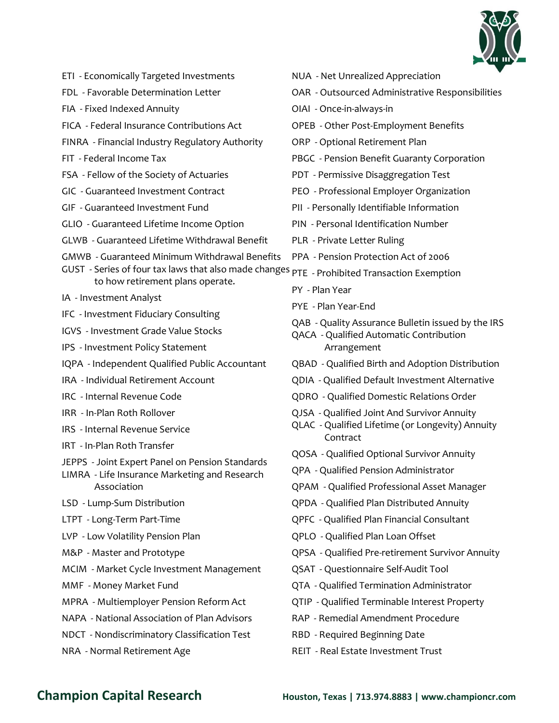

|  | ETI - Economically Targeted Investments |
|--|-----------------------------------------|
|--|-----------------------------------------|

- FDL Favorable Determination Letter
- FIA Fixed Indexed Annuity
- FICA Federal Insurance Contributions Act
- FINRA Financial Industry Regulatory Authority
- FIT Federal Income Tax
- FSA Fellow of the Society of Actuaries
- GIC Guaranteed Investment Contract
- GIF Guaranteed Investment Fund
- GLIO Guaranteed Lifetime Income Option
- GLWB Guaranteed Lifetime Withdrawal Benefit
- GMWB Guaranteed Minimum Withdrawal Benefits
- GUST Series of four tax laws that also made changes PTE Prohibited Transaction Exemption to how retirement plans operate.
- IA Investment Analyst
- IFC Investment Fiduciary Consulting
- IGVS Investment Grade Value Stocks
- IPS Investment Policy Statement
- IQPA Independent Qualified Public Accountant
- IRA Individual Retirement Account
- IRC Internal Revenue Code
- IRR In-Plan Roth Rollover
- IRS Internal Revenue Service
- IRT In-Plan Roth Transfer
- JEPPS Joint Expert Panel on Pension Standards
- LIMRA Life Insurance Marketing and Research Association
- LSD Lump-Sum Distribution
- LTPT Long-Term Part-Time
- LVP Low Volatility Pension Plan
- M&P Master and Prototype
- MCIM Market Cycle Investment Management
- MMF Money Market Fund
- MPRA Multiemployer Pension Reform Act
- NAPA National Association of Plan Advisors
- NDCT Nondiscriminatory Classification Test
- NRA Normal Retirement Age
- NUA Net Unrealized Appreciation
- OAR Outsourced Administrative Responsibilities
- OIAI Once-in-always-in
- OPEB Other Post-Employment Benefits
- ORP Optional Retirement Plan
- PBGC Pension Benefit Guaranty Corporation
- PDT Permissive Disaggregation Test
- PEO Professional Employer Organization
- PII Personally Identifiable Information
- PIN Personal Identification Number
- PLR Private Letter Ruling
- PPA Pension Protection Act of 2006
- - PY Plan Year
	- PYE Plan Year-End
	- QAB Quality Assurance Bulletin issued by the IRS
	- QACA Qualified Automatic Contribution Arrangement
	- QBAD Qualified Birth and Adoption Distribution
	- QDIA Qualified Default Investment Alternative
	- QDRO Qualified Domestic Relations Order
	- QJSA Qualified Joint And Survivor Annuity
	- QLAC Qualified Lifetime (or Longevity) Annuity Contract
	- QOSA Qualified Optional Survivor Annuity
	- QPA Qualified Pension Administrator
	- QPAM Qualified Professional Asset Manager
	- QPDA Qualified Plan Distributed Annuity
	- QPFC Qualified Plan Financial Consultant
	- QPLO Qualified Plan Loan Offset
	- QPSA Qualified Pre-retirement Survivor Annuity
	- QSAT Questionnaire Self-Audit Tool
	- QTA Qualified Termination Administrator
	- QTIP Qualified Terminable Interest Property
	- RAP Remedial Amendment Procedure
	- RBD Required Beginning Date
	- REIT Real Estate Investment Trust